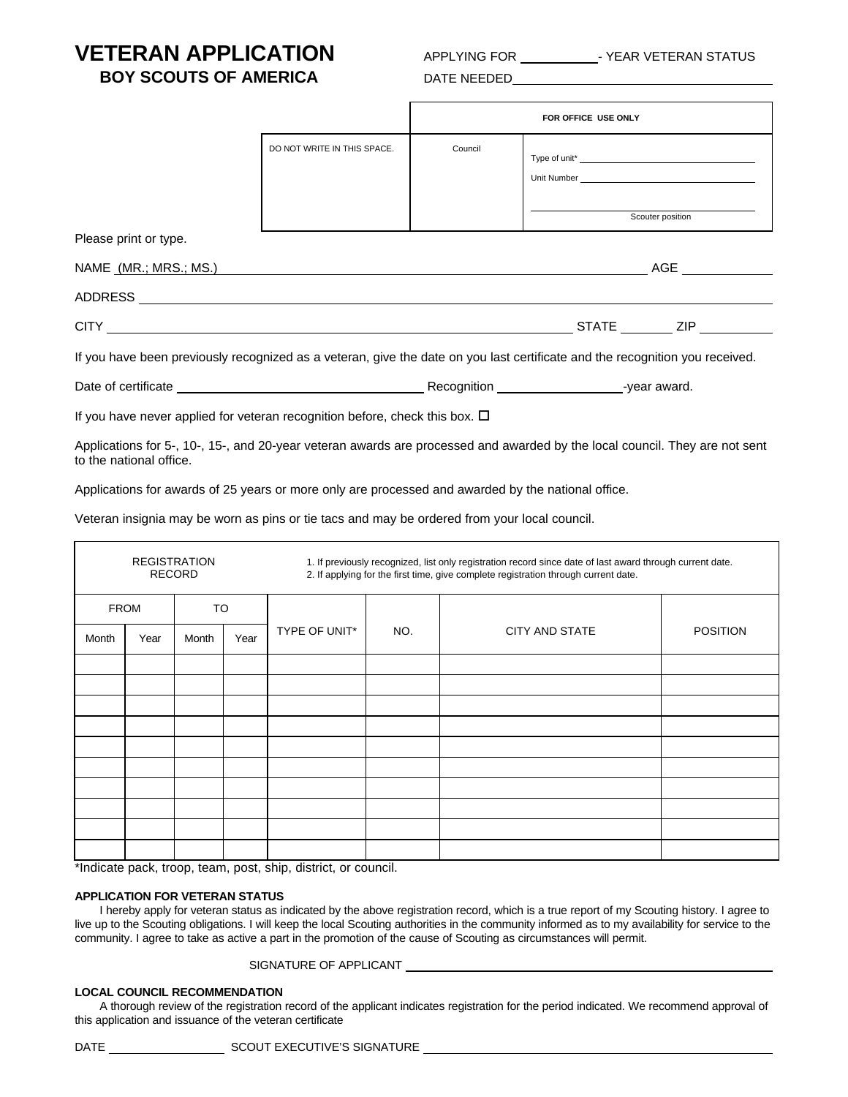## **VETERAN APPLICATION** APPLYING FOR \_\_\_\_\_\_\_\_\_\_\_\_\_- YEAR VETERAN STATUS **BOY SCOUTS OF AMERICA** DATE NEEDED

|                                                                                                                                                        |                             | FOR OFFICE USE ONLY |                                                                                                                                                                                                                                                    |  |  |  |  |  |  |
|--------------------------------------------------------------------------------------------------------------------------------------------------------|-----------------------------|---------------------|----------------------------------------------------------------------------------------------------------------------------------------------------------------------------------------------------------------------------------------------------|--|--|--|--|--|--|
|                                                                                                                                                        | DO NOT WRITE IN THIS SPACE. | Council             | Unit Number and the contract of the contract of the contract of the contract of the contract of the contract of the contract of the contract of the contract of the contract of the contract of the contract of the contract o<br>Scouter position |  |  |  |  |  |  |
| Please print or type.                                                                                                                                  |                             |                     |                                                                                                                                                                                                                                                    |  |  |  |  |  |  |
|                                                                                                                                                        |                             |                     |                                                                                                                                                                                                                                                    |  |  |  |  |  |  |
|                                                                                                                                                        |                             |                     |                                                                                                                                                                                                                                                    |  |  |  |  |  |  |
|                                                                                                                                                        |                             |                     |                                                                                                                                                                                                                                                    |  |  |  |  |  |  |
| If you have been previously recognized as a veteran, give the date on you last certificate and the recognition you received.                           |                             |                     |                                                                                                                                                                                                                                                    |  |  |  |  |  |  |
|                                                                                                                                                        |                             |                     |                                                                                                                                                                                                                                                    |  |  |  |  |  |  |
| If you have never applied for veteran recognition before, check this box. $\Box$                                                                       |                             |                     |                                                                                                                                                                                                                                                    |  |  |  |  |  |  |
| Applications for 5-, 10-, 15-, and 20-year veteran awards are processed and awarded by the local council. They are not sent<br>to the national office. |                             |                     |                                                                                                                                                                                                                                                    |  |  |  |  |  |  |
| Applications for awards of 25 years or more only are processed and awarded by the national office.                                                     |                             |                     |                                                                                                                                                                                                                                                    |  |  |  |  |  |  |
| Veteran insignia may be worn as pins or tie tacs and may be ordered from your local council.                                                           |                             |                     |                                                                                                                                                                                                                                                    |  |  |  |  |  |  |
|                                                                                                                                                        |                             |                     |                                                                                                                                                                                                                                                    |  |  |  |  |  |  |

| <b>REGISTRATION</b><br>RECORD |      |           |      | 1. If previously recognized, list only registration record since date of last award through current date.<br>2. If applying for the first time, give complete registration through current date. |     |                       |                 |  |  |
|-------------------------------|------|-----------|------|--------------------------------------------------------------------------------------------------------------------------------------------------------------------------------------------------|-----|-----------------------|-----------------|--|--|
| <b>FROM</b>                   |      | <b>TO</b> |      |                                                                                                                                                                                                  |     |                       |                 |  |  |
| Month                         | Year | Month     | Year | TYPE OF UNIT*                                                                                                                                                                                    | NO. | <b>CITY AND STATE</b> | <b>POSITION</b> |  |  |
|                               |      |           |      |                                                                                                                                                                                                  |     |                       |                 |  |  |
|                               |      |           |      |                                                                                                                                                                                                  |     |                       |                 |  |  |
|                               |      |           |      |                                                                                                                                                                                                  |     |                       |                 |  |  |
|                               |      |           |      |                                                                                                                                                                                                  |     |                       |                 |  |  |
|                               |      |           |      |                                                                                                                                                                                                  |     |                       |                 |  |  |
|                               |      |           |      |                                                                                                                                                                                                  |     |                       |                 |  |  |
|                               |      |           |      |                                                                                                                                                                                                  |     |                       |                 |  |  |
|                               |      |           |      |                                                                                                                                                                                                  |     |                       |                 |  |  |
|                               |      |           |      |                                                                                                                                                                                                  |     |                       |                 |  |  |
|                               |      |           |      |                                                                                                                                                                                                  |     |                       |                 |  |  |

\*Indicate pack, troop, team, post, ship, district, or council.

## **APPLICATION FOR VETERAN STATUS**

I hereby apply for veteran status as indicated by the above registration record, which is a true report of my Scouting history. I agree to live up to the Scouting obligations. I will keep the local Scouting authorities in the community informed as to my availability for service to the community. I agree to take as active a part in the promotion of the cause of Scouting as circumstances will permit.

## SIGNATURE OF APPLICANT **CONSIDERATION**

## **LOCAL COUNCIL RECOMMENDATION**

A thorough review of the registration record of the applicant indicates registration for the period indicated. We recommend approval of this application and issuance of the veteran certificate